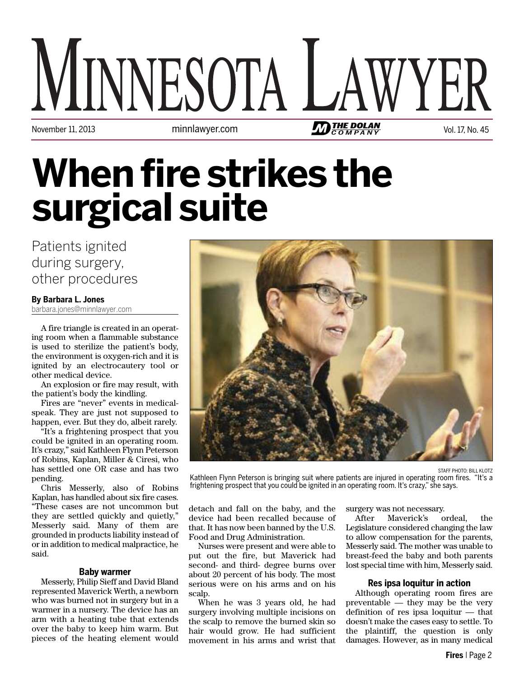# MINNESOTA L November 11, 2013 **Matter 2018** minnlawyer.com **Vol.17, No. 45** Matter 2014 Matter 2014 Matter 2014 Matter 2015

## **When fire strikes the surgicalsuite**

Patients ignited during surgery, other procedures

#### **By Barbara L. Jones**

barbara.jones@minnlawyer.com

A fire triangle is created in an operating room when a flammable substance is used to sterilize the patient's body, the environment is oxygen-rich and it is ignited by an electrocautery tool or other medical device.

An explosion or fire may result, with the patient's body the kindling.

Fires are "never" events in medicalspeak. They are just not supposed to happen, ever. But they do, albeit rarely.

"It's a frightening prospect that you could be ignited in an operating room. It's crazy," said Kathleen Flynn Peterson of Robins, Kaplan, Miller & Ciresi, who has settled one OR case and has two pending.

Chris Messerly, also of Robins Kaplan, has handled about six fire cases. "These cases are not uncommon but they are settled quickly and quietly," Messerly said. Many of them are grounded in products liability instead of or in addition to medical malpractice, he said.

#### **Baby warmer**

Messerly, Philip Sieff and David Bland represented Maverick Werth, a newborn who was burned not in surgery but in a warmer in a nursery. The device has an arm with a heating tube that extends over the baby to keep him warm. But pieces of the heating element would



STAFF PHOTO: BILL KLOTZ Kathleen Flynn Peterson is bringing suit where patients are injured in operating room fires. "It's a frightening prospect that you could be ignited in an operating room. It's crazy," she says.

detach and fall on the baby, and the device had been recalled because of that. It has now been banned by the U.S. Food and Drug Administration.

Nurses were present and were able to put out the fire, but Maverick had second- and third- degree burns over about 20 percent of his body. The most serious were on his arms and on his scalp.

When he was 3 years old, he had surgery involving multiple incisions on the scalp to remove the burned skin so hair would grow. He had sufficient movement in his arms and wrist that surgery was not necessary.

After Maverick's ordeal, the Legislature considered changing the law to allow compensation for the parents, Messerly said. The mother was unable to breast-feed the baby and both parents lost special time with him, Messerly said.

#### **Res ipsa loquitur in action**

Although operating room fires are preventable — they may be the very definition of res ipsa loquitur — that doesn't make the cases easy to settle. To the plaintiff, the question is only damages. However, as in many medical